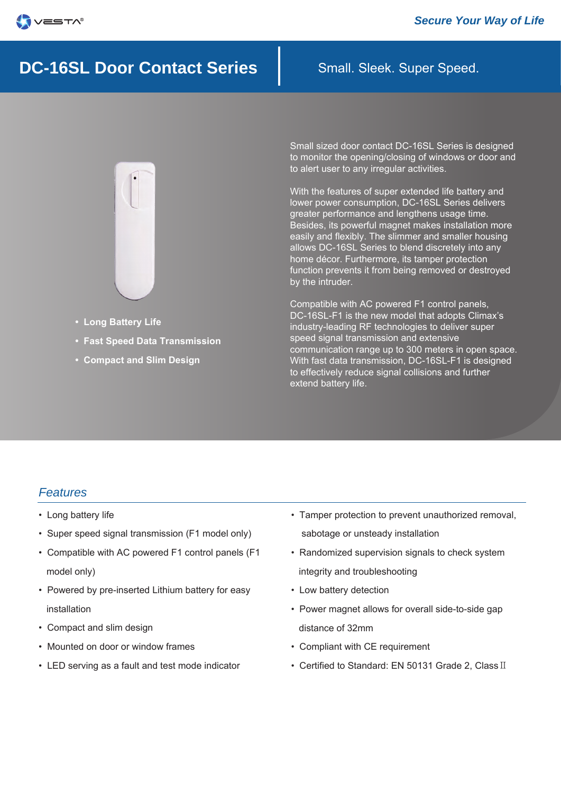

# **DC-16SL Door Contact Series** Small. Sleek. Super Speed.



- **Long Battery Life**
- **Fast Speed Data Transmission**
- **Compact and Slim Design**

Small sized door contact DC-16SL Series is designed to monitor the opening/closing of windows or door and to alert user to any irregular activities.

With the features of super extended life battery and lower power consumption, DC-16SL Series delivers greater performance and lengthens usage time. Besides, its powerful magnet makes installation more easily and flexibly. The slimmer and smaller housing allows DC-16SL Series to blend discretely into any home décor. Furthermore, its tamper protection function prevents it from being removed or destroyed by the intruder.

Compatible with AC powered F1 control panels, DC-16SL-F1 is the new model that adopts Climax's industry-leading RF technologies to deliver super speed signal transmission and extensive communication range up to 300 meters in open space. With fast data transmission, DC-16SL-F1 is designed to effectively reduce signal collisions and further extend battery life.

#### *Features*

- Long battery life
- Super speed signal transmission (F1 model only)
- Compatible with AC powered F1 control panels (F1 model only)
- Powered by pre-inserted Lithium battery for easy installation
- Compact and slim design
- Mounted on door or window frames
- LED serving as a fault and test mode indicator
- Tamper protection to prevent unauthorized removal, sabotage or unsteady installation
- Randomized supervision signals to check system integrity and troubleshooting
- Low battery detection
- Power magnet allows for overall side-to-side gap distance of 32mm
- Compliant with CE requirement
- Certified to Standard: EN 50131 Grade 2, ClassⅡ